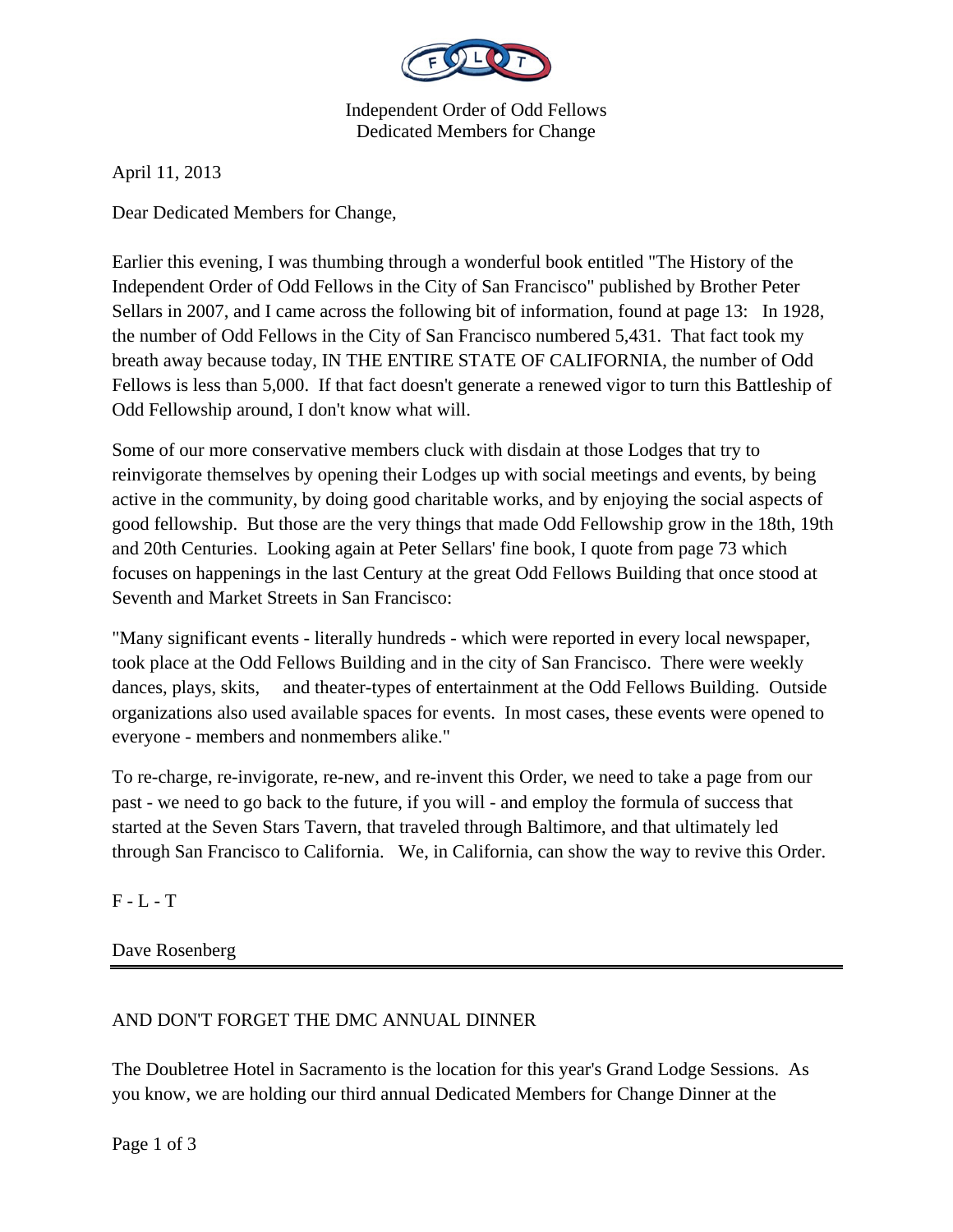

Independent Order of Odd Fellows Dedicated Members for Change

April 11, 2013

Dear Dedicated Members for Change,

Earlier this evening, I was thumbing through a wonderful book entitled "The History of the Independent Order of Odd Fellows in the City of San Francisco" published by Brother Peter Sellars in 2007, and I came across the following bit of information, found at page 13: In 1928, the number of Odd Fellows in the City of San Francisco numbered 5,431. That fact took my breath away because today, IN THE ENTIRE STATE OF CALIFORNIA, the number of Odd Fellows is less than 5,000. If that fact doesn't generate a renewed vigor to turn this Battleship of Odd Fellowship around, I don't know what will.

Some of our more conservative members cluck with disdain at those Lodges that try to reinvigorate themselves by opening their Lodges up with social meetings and events, by being active in the community, by doing good charitable works, and by enjoying the social aspects of good fellowship. But those are the very things that made Odd Fellowship grow in the 18th, 19th and 20th Centuries. Looking again at Peter Sellars' fine book, I quote from page 73 which focuses on happenings in the last Century at the great Odd Fellows Building that once stood at Seventh and Market Streets in San Francisco:

"Many significant events - literally hundreds - which were reported in every local newspaper, took place at the Odd Fellows Building and in the city of San Francisco. There were weekly dances, plays, skits, and theater-types of entertainment at the Odd Fellows Building. Outside organizations also used available spaces for events. In most cases, these events were opened to everyone - members and nonmembers alike."

To re-charge, re-invigorate, re-new, and re-invent this Order, we need to take a page from our past - we need to go back to the future, if you will - and employ the formula of success that started at the Seven Stars Tavern, that traveled through Baltimore, and that ultimately led through San Francisco to California. We, in California, can show the way to revive this Order.

 $F - L - T$ 

Dave Rosenberg

## AND DON'T FORGET THE DMC ANNUAL DINNER

The Doubletree Hotel in Sacramento is the location for this year's Grand Lodge Sessions. As you know, we are holding our third annual Dedicated Members for Change Dinner at the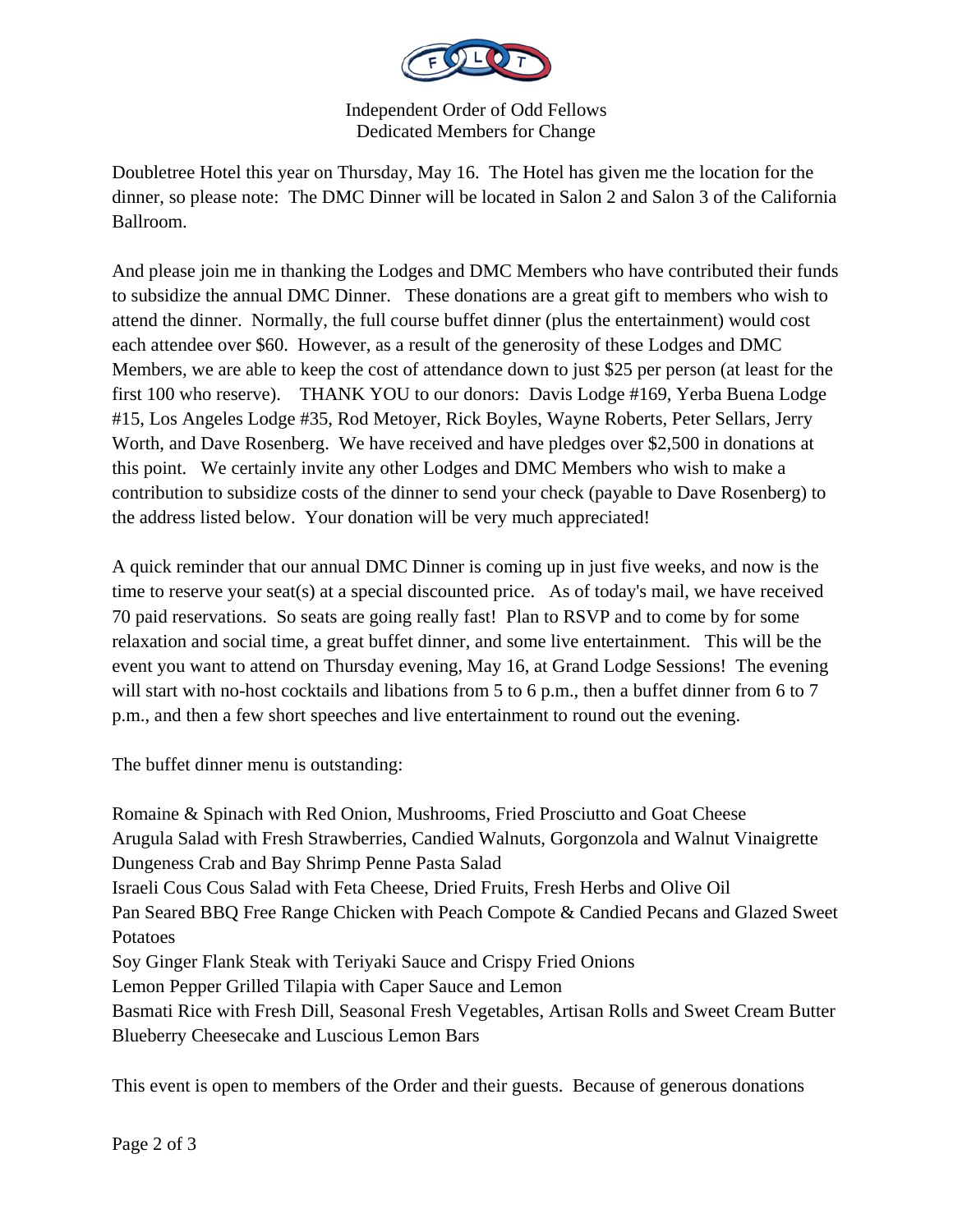

Independent Order of Odd Fellows Dedicated Members for Change

Doubletree Hotel this year on Thursday, May 16. The Hotel has given me the location for the dinner, so please note: The DMC Dinner will be located in Salon 2 and Salon 3 of the California Ballroom.

And please join me in thanking the Lodges and DMC Members who have contributed their funds to subsidize the annual DMC Dinner. These donations are a great gift to members who wish to attend the dinner. Normally, the full course buffet dinner (plus the entertainment) would cost each attendee over \$60. However, as a result of the generosity of these Lodges and DMC Members, we are able to keep the cost of attendance down to just \$25 per person (at least for the first 100 who reserve). THANK YOU to our donors: Davis Lodge #169, Yerba Buena Lodge #15, Los Angeles Lodge #35, Rod Metoyer, Rick Boyles, Wayne Roberts, Peter Sellars, Jerry Worth, and Dave Rosenberg. We have received and have pledges over \$2,500 in donations at this point. We certainly invite any other Lodges and DMC Members who wish to make a contribution to subsidize costs of the dinner to send your check (payable to Dave Rosenberg) to the address listed below. Your donation will be very much appreciated!

A quick reminder that our annual DMC Dinner is coming up in just five weeks, and now is the time to reserve your seat(s) at a special discounted price. As of today's mail, we have received 70 paid reservations. So seats are going really fast! Plan to RSVP and to come by for some relaxation and social time, a great buffet dinner, and some live entertainment. This will be the event you want to attend on Thursday evening, May 16, at Grand Lodge Sessions! The evening will start with no-host cocktails and libations from 5 to 6 p.m., then a buffet dinner from 6 to 7 p.m., and then a few short speeches and live entertainment to round out the evening.

The buffet dinner menu is outstanding:

Romaine & Spinach with Red Onion, Mushrooms, Fried Prosciutto and Goat Cheese Arugula Salad with Fresh Strawberries, Candied Walnuts, Gorgonzola and Walnut Vinaigrette Dungeness Crab and Bay Shrimp Penne Pasta Salad Israeli Cous Cous Salad with Feta Cheese, Dried Fruits, Fresh Herbs and Olive Oil Pan Seared BBQ Free Range Chicken with Peach Compote & Candied Pecans and Glazed Sweet Potatoes Soy Ginger Flank Steak with Teriyaki Sauce and Crispy Fried Onions Lemon Pepper Grilled Tilapia with Caper Sauce and Lemon Basmati Rice with Fresh Dill, Seasonal Fresh Vegetables, Artisan Rolls and Sweet Cream Butter Blueberry Cheesecake and Luscious Lemon Bars

This event is open to members of the Order and their guests. Because of generous donations